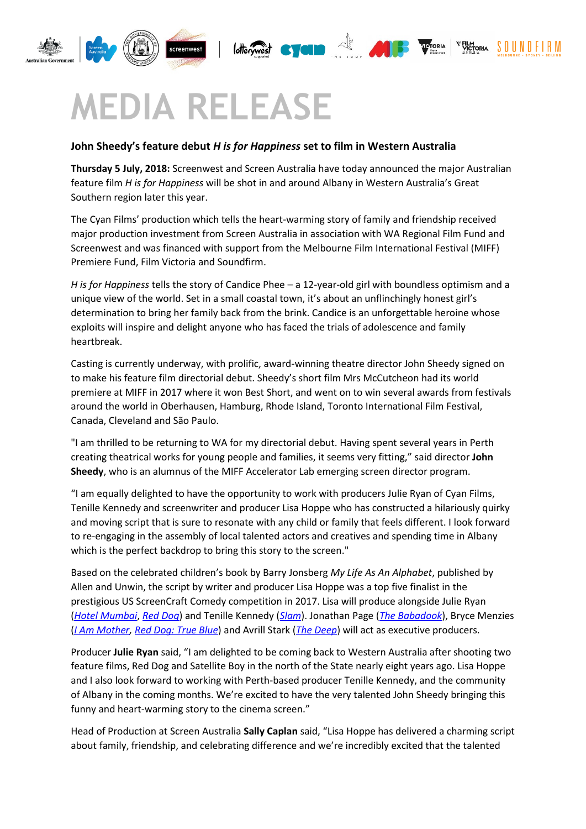

## **MEDIA RELEASE**

## **John Sheedy's feature debut** *H is for Happiness* **set to film in Western Australia**

**Thursday 5 July, 2018:** Screenwest and Screen Australia have today announced the major Australian feature film *H is for Happiness* will be shot in and around Albany in Western Australia's Great Southern region later this year.

VICTORIA

The Cyan Films' production which tells the heart-warming story of family and friendship received major production investment from Screen Australia in association with WA Regional Film Fund and Screenwest and was financed with support from the Melbourne Film International Festival (MIFF) Premiere Fund, Film Victoria and Soundfirm.

*H is for Happiness* tells the story of Candice Phee – a 12-year-old girl with boundless optimism and a unique view of the world. Set in a small coastal town, it's about an unflinchingly honest girl's determination to bring her family back from the brink. Candice is an unforgettable heroine whose exploits will inspire and delight anyone who has faced the trials of adolescence and family heartbreak.

Casting is currently underway, with prolific, award-winning theatre director John Sheedy signed on to make his feature film directorial debut. Sheedy's short film Mrs McCutcheon had its world premiere at MIFF in 2017 where it won Best Short, and went on to win several awards from festivals around the world in Oberhausen, Hamburg, Rhode Island, Toronto International Film Festival, Canada, Cleveland and São Paulo.

"I am thrilled to be returning to WA for my directorial debut. Having spent several years in Perth creating theatrical works for young people and families, it seems very fitting," said director **John Sheedy**, who is an alumnus of the MIFF Accelerator Lab emerging screen director program.

"I am equally delighted to have the opportunity to work with producers Julie Ryan of Cyan Films, Tenille Kennedy and screenwriter and producer Lisa Hoppe who has constructed a hilariously quirky and moving script that is sure to resonate with any child or family that feels different. I look forward to re-engaging in the assembly of local talented actors and creatives and spending time in Albany which is the perfect backdrop to bring this story to the screen."

Based on the celebrated children's book by Barry Jonsberg *My Life As An Alphabet*, published by Allen and Unwin, the script by writer and producer Lisa Hoppe was a top five finalist in the prestigious US ScreenCraft Comedy competition in 2017. Lisa will produce alongside Julie Ryan (*[Hotel Mumbai](https://www.screenaustralia.gov.au/the-screen-guide/t/hotel-mumbai-2019/35042)*, *[Red Dog](https://www.screenaustralia.gov.au/the-screen-guide/t/red-dog-2011/21986)*) and Tenille Kennedy (*[Slam](https://www.screenaustralia.gov.au/the-screen-guide/t/slam-2018/34897)*). Jonathan Page (*[The Babadook](https://www.screenaustralia.gov.au/the-screen-guide/t/the-babadook-2014/28355)*), Bryce Menzies (*[I Am Mother,](https://www.screenaustralia.gov.au/the-screen-guide/t/i-am-mother-2018/35297) [Red Dog: True Blue](https://www.screenaustralia.gov.au/the-screen-guide/t/red-dog--true-blue-2016/33202)*) and Avrill Stark (*[The Deep](https://www.screenaustralia.gov.au/the-screen-guide/t/the-deep-series/35059)*) will act as executive producers.

Producer **Julie Ryan** said, "I am delighted to be coming back to Western Australia after shooting two feature films, Red Dog and Satellite Boy in the north of the State nearly eight years ago. Lisa Hoppe and I also look forward to working with Perth-based producer Tenille Kennedy, and the community of Albany in the coming months. We're excited to have the very talented John Sheedy bringing this funny and heart-warming story to the cinema screen."

Head of Production at Screen Australia **Sally Caplan** said, "Lisa Hoppe has delivered a charming script about family, friendship, and celebrating difference and we're incredibly excited that the talented